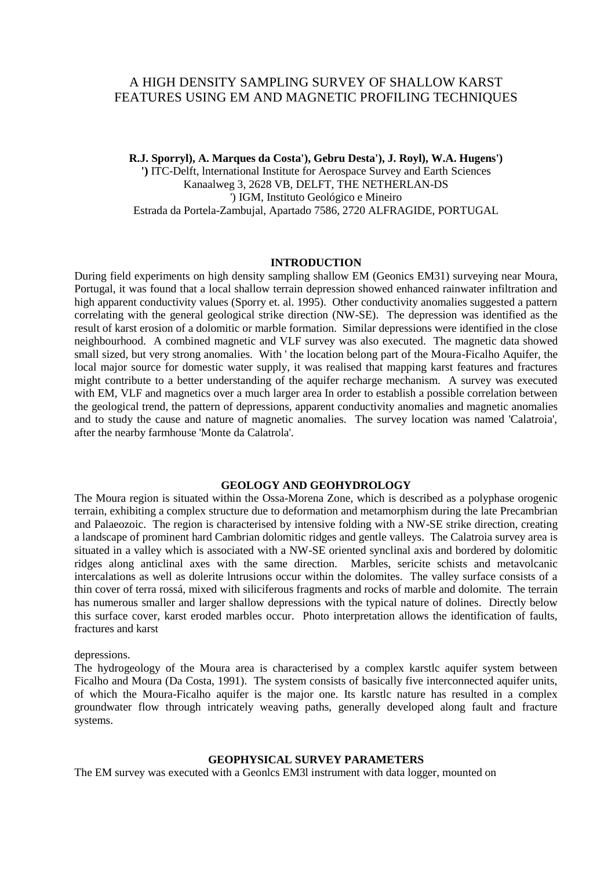# A HIGH DENSITY SAMPLING SURVEY OF SHALLOW KARST FEATURES USING EM AND MAGNETIC PROFILING TECHNIQUES

**R.J. Sporryl), A. Marques da Costa'), Gebru Desta'), J. Royl), W.A. Hugens')**

**')** ITC-Delft, lnternational Institute for Aerospace Survey and Earth Sciences Kanaalweg 3, 2628 VB, DELFT, THE NETHERLAN-DS ') IGM, Instituto Geológico e Mineiro Estrada da Portela-Zambujal, Apartado 7586, 2720 ALFRAGIDE, PORTUGAL

#### **INTRODUCTION**

During field experiments on high density sampling shallow EM (Geonics EM31) surveying near Moura, Portugal, it was found that a local shallow terrain depression showed enhanced rainwater infiltration and high apparent conductivity values (Sporry et. al. 1995). Other conductivity anomalies suggested a pattern correlating with the general geological strike direction (NW-SE). The depression was identified as the result of karst erosion of a dolomitic or marble formation. Similar depressions were identified in the close neighbourhood. A combined magnetic and VLF survey was also executed. The magnetic data showed small sized, but very strong anomalies. With ' the location belong part of the Moura-Ficalho Aquifer, the local major source for domestic water supply, it was realised that mapping karst features and fractures might contribute to a better understanding of the aquifer recharge mechanism. A survey was executed with EM, VLF and magnetics over a much larger area In order to establish a possible correlation between the geological trend, the pattern of depressions, apparent conductivity anomalies and magnetic anomalies and to study the cause and nature of magnetic anomalies. The survey location was named 'Calatroia', after the nearby farmhouse 'Monte da Calatrola'.

## **GEOLOGY AND GEOHYDROLOGY**

The Moura region is situated within the Ossa-Morena Zone, which is described as a polyphase orogenic terrain, exhibiting a complex structure due to deformation and metamorphism during the late Precambrian and Palaeozoic. The region is characterised by intensive folding with a NW-SE strike direction, creating a landscape of prominent hard Cambrian dolomitic ridges and gentle valleys. The Calatroia survey area is situated in a valley which is associated with a NW-SE oriented synclinal axis and bordered by dolomitic ridges along anticlinal axes with the same direction. Marbles, sericite schists and metavolcanic intercalations as well as dolerite lntrusions occur within the dolomites. The valley surface consists of a thin cover of terra rossá, mixed with siliciferous fragments and rocks of marble and dolomite. The terrain has numerous smaller and larger shallow depressions with the typical nature of dolines. Directly below this surface cover, karst eroded marbles occur. Photo interpretation allows the identification of faults, fractures and karst

depressions.

The hydrogeology of the Moura area is characterised by a complex karstlc aquifer system between Ficalho and Moura (Da Costa, 1991). The system consists of basically five interconnected aquifer units, of which the Moura-Ficalho aquifer is the major one. Its karstlc nature has resulted in a complex groundwater flow through intricately weaving paths, generally developed along fault and fracture systems.

### **GEOPHYSICAL SURVEY PARAMETERS**

The EM survey was executed with a Geonlcs EM3l instrument with data logger, mounted on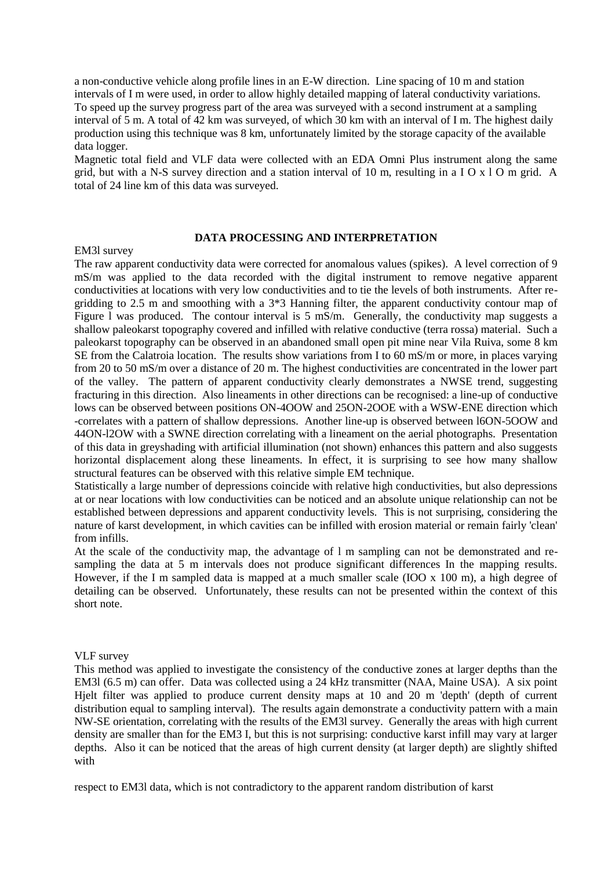a non-conductive vehicle along profile lines in an E-W direction. Line spacing of 10 m and station intervals of I m were used, in order to allow highly detailed mapping of lateral conductivity variations. To speed up the survey progress part of the area was surveyed with a second instrument at a sampling interval of 5 m. A total of 42 km was surveyed, of which 30 km with an interval of I m. The highest daily production using this technique was 8 km, unfortunately limited by the storage capacity of the available data logger.

Magnetic total field and VLF data were collected with an EDA Omni Plus instrument along the same grid, but with a N-S survey direction and a station interval of 10 m, resulting in a I O x l O m grid. A total of 24 line km of this data was surveyed.

#### **DATA PROCESSING AND INTERPRETATION**

#### EM3l survey

The raw apparent conductivity data were corrected for anomalous values (spikes). A level correction of 9 mS/m was applied to the data recorded with the digital instrument to remove negative apparent conductivities at locations with very low conductivities and to tie the levels of both instruments. After regridding to 2.5 m and smoothing with a 3\*3 Hanning filter, the apparent conductivity contour map of Figure 1 was produced. The contour interval is 5 mS/m. Generally, the conductivity map suggests a shallow paleokarst topography covered and infilled with relative conductive (terra rossa) material. Such a paleokarst topography can be observed in an abandoned small open pit mine near Vila Ruiva, some 8 km SE from the Calatroia location. The results show variations from I to 60 mS/m or more, in places varying from 20 to 50 mS/m over a distance of 20 m. The highest conductivities are concentrated in the lower part of the valley. The pattern of apparent conductivity clearly demonstrates a NWSE trend, suggesting fracturing in this direction. Also lineaments in other directions can be recognised: a line-up of conductive lows can be observed between positions ON-4OOW and 25ON-2OOE with a WSW-ENE direction which -correlates with a pattern of shallow depressions. Another line-up is observed between l6ON-5OOW and 44ON-l2OW with a SWNE direction correlating with a lineament on the aerial photographs. Presentation of this data in greyshading with artificial illumination (not shown) enhances this pattern and also suggests horizontal displacement along these lineaments. In effect, it is surprising to see how many shallow structural features can be observed with this relative simple EM technique.

Statistically a large number of depressions coincide with relative high conductivities, but also depressions at or near locations with low conductivities can be noticed and an absolute unique relationship can not be established between depressions and apparent conductivity levels. This is not surprising, considering the nature of karst development, in which cavities can be infilled with erosion material or remain fairly 'clean' from infills.

At the scale of the conductivity map, the advantage of l m sampling can not be demonstrated and resampling the data at 5 m intervals does not produce significant differences In the mapping results. However, if the I m sampled data is mapped at a much smaller scale (IOO x 100 m), a high degree of detailing can be observed. Unfortunately, these results can not be presented within the context of this short note.

#### VLF survey

This method was applied to investigate the consistency of the conductive zones at larger depths than the EM3l (6.5 m) can offer. Data was collected using a 24 kHz transmitter (NAA, Maine USA). A six point Hjelt filter was applied to produce current density maps at 10 and 20 m 'depth' (depth of current distribution equal to sampling interval). The results again demonstrate a conductivity pattern with a main NW-SE orientation, correlating with the results of the EM3l survey. Generally the areas with high current density are smaller than for the EM3 I, but this is not surprising: conductive karst infill may vary at larger depths. Also it can be noticed that the areas of high current density (at larger depth) are slightly shifted with

respect to EM3l data, which is not contradictory to the apparent random distribution of karst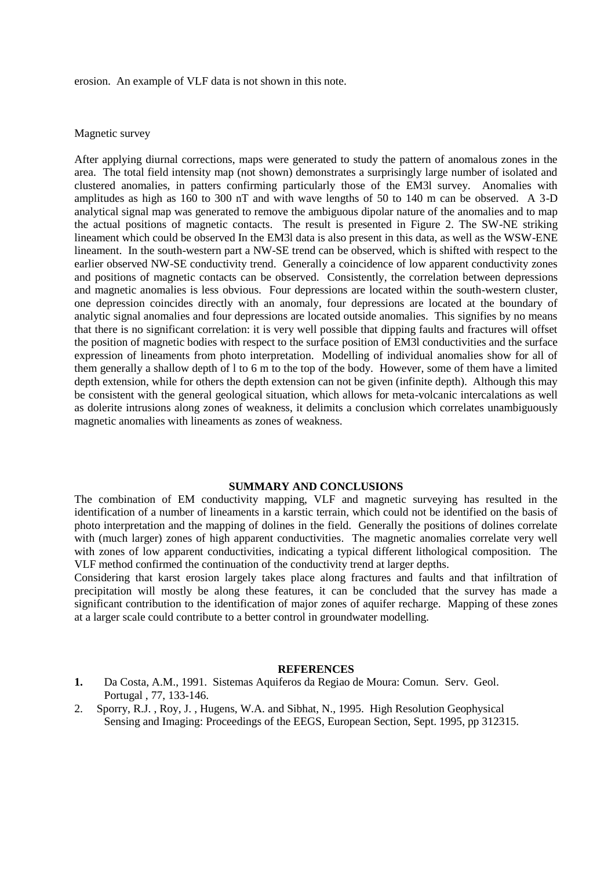erosion. An example of VLF data is not shown in this note.

#### Magnetic survey

After applying diurnal corrections, maps were generated to study the pattern of anomalous zones in the area. The total field intensity map (not shown) demonstrates a surprisingly large number of isolated and clustered anomalies, in patters confirming particularly those of the EM3l survey. Anomalies with amplitudes as high as 160 to 300 nT and with wave lengths of 50 to 140 m can be observed. A 3-D analytical signal map was generated to remove the ambiguous dipolar nature of the anomalies and to map the actual positions of magnetic contacts. The result is presented in Figure 2. The SW-NE striking lineament which could be observed In the EM3l data is also present in this data, as well as the WSW-ENE lineament. In the south-western part a NW-SE trend can be observed, which is shifted with respect to the earlier observed NW-SE conductivity trend. Generally a coincidence of low apparent conductivity zones and positions of magnetic contacts can be observed. Consistently, the correlation between depressions and magnetic anomalies is less obvious. Four depressions are located within the south-western cluster, one depression coincides directly with an anomaly, four depressions are located at the boundary of analytic signal anomalies and four depressions are located outside anomalies. This signifies by no means that there is no significant correlation: it is very well possible that dipping faults and fractures will offset the position of magnetic bodies with respect to the surface position of EM3l conductivities and the surface expression of lineaments from photo interpretation. Modelling of individual anomalies show for all of them generally a shallow depth of l to 6 m to the top of the body. However, some of them have a limited depth extension, while for others the depth extension can not be given (infinite depth). Although this may be consistent with the general geological situation, which allows for meta-volcanic intercalations as well as dolerite intrusions along zones of weakness, it delimits a conclusion which correlates unambiguously magnetic anomalies with lineaments as zones of weakness.

#### **SUMMARY AND CONCLUSIONS**

The combination of EM conductivity mapping, VLF and magnetic surveying has resulted in the identification of a number of lineaments in a karstic terrain, which could not be identified on the basis of photo interpretation and the mapping of dolines in the field. Generally the positions of dolines correlate with (much larger) zones of high apparent conductivities. The magnetic anomalies correlate very well with zones of low apparent conductivities, indicating a typical different lithological composition. The VLF method confirmed the continuation of the conductivity trend at larger depths.

Considering that karst erosion largely takes place along fractures and faults and that infiltration of precipitation will mostly be along these features, it can be concluded that the survey has made a significant contribution to the identification of major zones of aquifer recharge. Mapping of these zones at a larger scale could contribute to a better control in groundwater modelling.

#### **REFERENCES**

- **1.** Da Costa, A.M., 1991. Sistemas Aquiferos da Regiao de Moura: Comun. Serv. Geol. Portugal , 77, 133-146.
- 2. Sporry, R.J. , Roy, J. , Hugens, W.A. and Sibhat, N., 1995. High Resolution Geophysical Sensing and Imaging: Proceedings of the EEGS, European Section, Sept. 1995, pp 312315.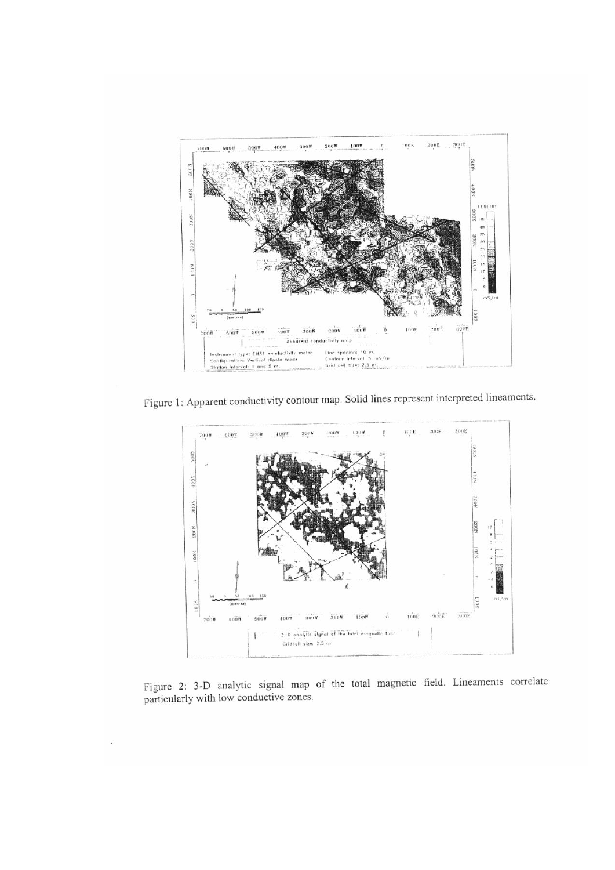

Figure 1: Apparent conductivity contour map. Solid lines represent interpreted lineaments.



Figure 2: 3-D analytic signal map of the total magnetic field. Lineaments correlate particularly with low conductive zones.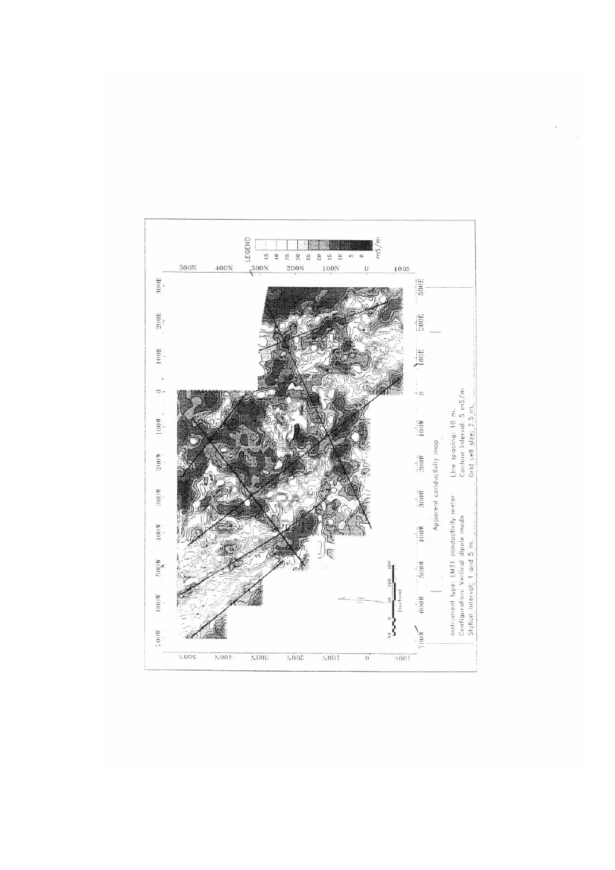

 $\lambda$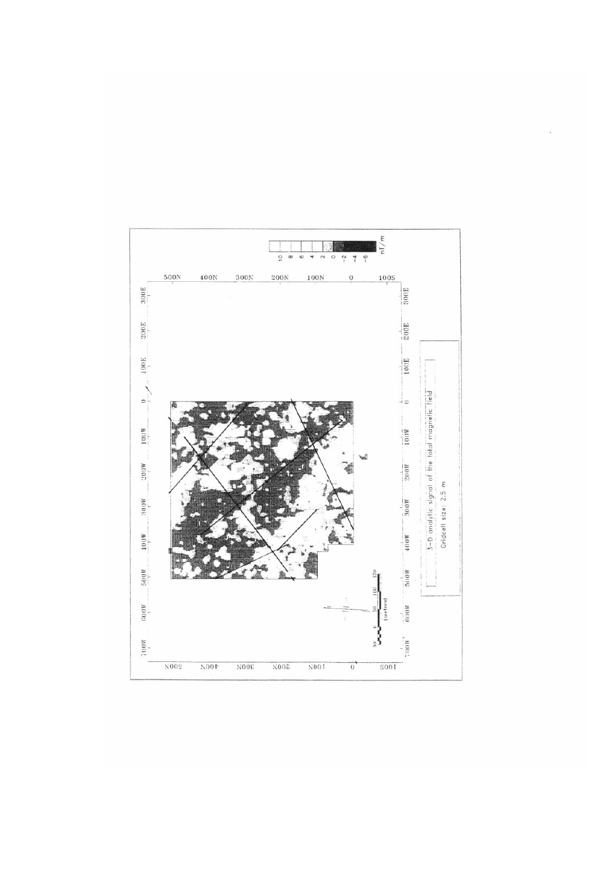

 $\hat{\boldsymbol{\epsilon}}$